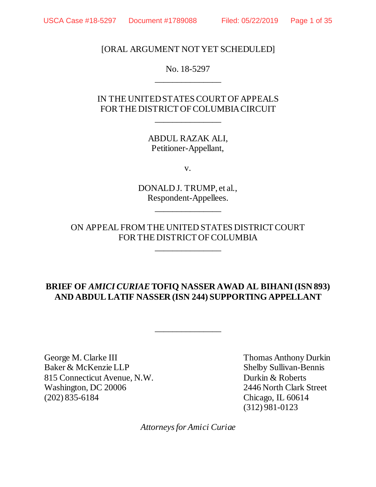[ORAL ARGUMENT NOT YET SCHEDULED]

No. 18-5297 \_\_\_\_\_\_\_\_\_\_\_\_\_\_\_

IN THE UNITED STATES COURT OF APPEALS FOR THE DISTRICT OF COLUMBIACIRCUIT

\_\_\_\_\_\_\_\_\_\_\_\_\_\_\_

ABDUL RAZAK ALI, Petitioner-Appellant,

v.

DONALD J. TRUMP, et al., Respondent-Appellees.

\_\_\_\_\_\_\_\_\_\_\_\_\_\_\_

ON APPEAL FROM THE UNITED STATES DISTRICT COURT FOR THE DISTRICT OF COLUMBIA

\_\_\_\_\_\_\_\_\_\_\_\_\_\_\_

## **BRIEF OF** *AMICI CURIAE* **TOFIQ NASSER AWAD AL BIHANI (ISN 893) AND ABDUL LATIF NASSER (ISN 244) SUPPORTING APPELLANT**

\_\_\_\_\_\_\_\_\_\_\_\_\_\_\_

George M. Clarke III Baker & McKenzie LLP 815 Connecticut Avenue, N.W. Washington, DC 20006 (202) 835-6184

Thomas Anthony Durkin Shelby Sullivan-Bennis Durkin & Roberts 2446 North Clark Street Chicago, IL 60614 (312) 981-0123

*Attorneys for Amici Curiae*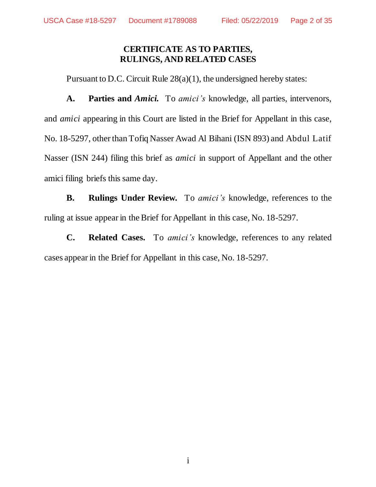### **CERTIFICATE AS TO PARTIES, RULINGS, AND RELATED CASES**

Pursuant to D.C. Circuit Rule 28(a)(1), the undersigned hereby states:

**A. Parties and** *Amici.* To *amici's* knowledge, all parties, intervenors, and *amici* appearing in this Court are listed in the Brief for Appellant in this case, No. 18-5297, other than Tofiq Nasser Awad Al Bihani (ISN 893) and Abdul Latif Nasser (ISN 244) filing this brief as *amici* in support of Appellant and the other amici filing briefs this same day.

**B. Rulings Under Review.** To *amici's* knowledge, references to the ruling at issue appear in the Brief for Appellant in this case, No. 18-5297.

**C. Related Cases.** To *amici's* knowledge, references to any related cases appear in the Brief for Appellant in this case, No. 18-5297.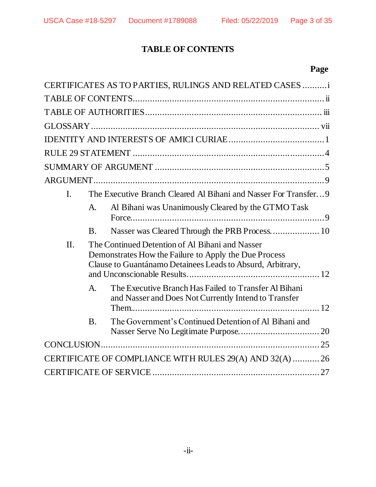# **TABLE OF CONTENTS**

# **Page**

|         |                                                                                                                                                                        | CERTIFICATES AS TO PARTIES, RULINGS AND RELATED CASES i                                                       |  |  |  |
|---------|------------------------------------------------------------------------------------------------------------------------------------------------------------------------|---------------------------------------------------------------------------------------------------------------|--|--|--|
|         |                                                                                                                                                                        |                                                                                                               |  |  |  |
|         |                                                                                                                                                                        |                                                                                                               |  |  |  |
|         |                                                                                                                                                                        |                                                                                                               |  |  |  |
|         |                                                                                                                                                                        |                                                                                                               |  |  |  |
|         |                                                                                                                                                                        |                                                                                                               |  |  |  |
|         |                                                                                                                                                                        |                                                                                                               |  |  |  |
|         |                                                                                                                                                                        |                                                                                                               |  |  |  |
| I.      |                                                                                                                                                                        | The Executive Branch Cleared Al Bihani and Nasser For Transfer9                                               |  |  |  |
|         | A.                                                                                                                                                                     | Al Bihani was Unanimously Cleared by the GTMO Task                                                            |  |  |  |
|         | <b>B.</b>                                                                                                                                                              |                                                                                                               |  |  |  |
| $\Pi$ . | The Continued Detention of Al Bihani and Nasser<br>Demonstrates How the Failure to Apply the Due Process<br>Clause to Guantánamo Detainees Leads to Absurd, Arbitrary, |                                                                                                               |  |  |  |
|         | A.                                                                                                                                                                     | The Executive Branch Has Failed to Transfer Al Bihani<br>and Nasser and Does Not Currently Intend to Transfer |  |  |  |
|         | <b>B.</b>                                                                                                                                                              | The Government's Continued Detention of Al Bihani and                                                         |  |  |  |
|         |                                                                                                                                                                        |                                                                                                               |  |  |  |
|         |                                                                                                                                                                        | CERTIFICATE OF COMPLIANCE WITH RULES 29(A) AND 32(A)  26                                                      |  |  |  |
|         |                                                                                                                                                                        |                                                                                                               |  |  |  |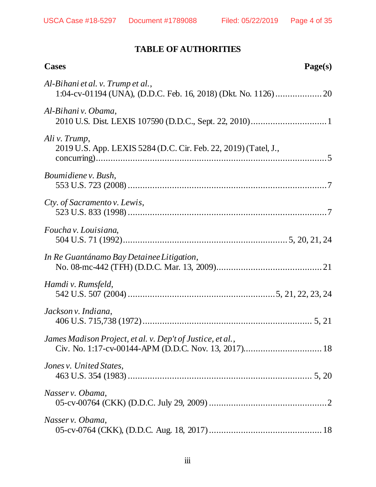# **TABLE OF AUTHORITIES**

| <b>Cases</b><br>Page(s)                                                          |
|----------------------------------------------------------------------------------|
| Al-Bihani et al. v. Trump et al.,                                                |
| Al-Bihani v. Obama,                                                              |
| Ali v. Trump,<br>2019 U.S. App. LEXIS 5284 (D.C. Cir. Feb. 22, 2019) (Tatel, J., |
| <i>Boumidiene v. Bush,</i>                                                       |
| Cty. of Sacramento v. Lewis,                                                     |
| Foucha v. Louisiana,                                                             |
| In Re Guantánamo Bay Detainee Litigation,                                        |
| Hamdi v. Rumsfeld,                                                               |
| Jackson v. Indiana,                                                              |
| James Madison Project, et al. v. Dep't of Justice, et al.,                       |
| Jones v. United States,                                                          |
| Nasser v. Obama,                                                                 |
| Nasser v. Obama,                                                                 |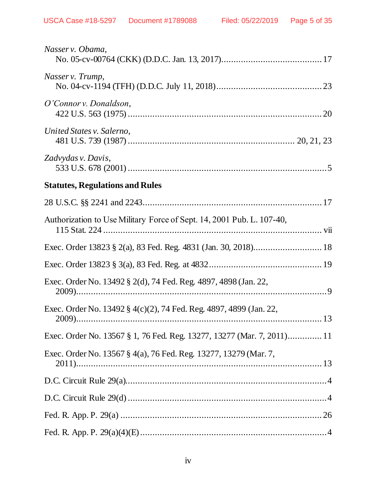| Nasser v. Obama,                                                                            |
|---------------------------------------------------------------------------------------------|
| Nasser v. Trump,                                                                            |
| O'Connor v. Donaldson,                                                                      |
| United States v. Salerno,                                                                   |
| Zadvydas v. Davis,                                                                          |
| <b>Statutes, Regulations and Rules</b>                                                      |
|                                                                                             |
| Authorization to Use Military Force of Sept. 14, 2001 Pub. L. 107-40,                       |
|                                                                                             |
|                                                                                             |
| Exec. Order No. 13492 § 2(d), 74 Fed. Reg. 4897, 4898 (Jan. 22,                             |
| Exec. Order No. 13492 § 4(c)(2), 74 Fed. Reg. 4897, 4899 (Jan. 22,<br>$\dots 13$<br>$2009)$ |
| Exec. Order No. 13567 § 1, 76 Fed. Reg. 13277, 13277 (Mar. 7, 2011) 11                      |
| Exec. Order No. 13567 § 4(a), 76 Fed. Reg. 13277, 13279 (Mar. 7,                            |
|                                                                                             |
|                                                                                             |
|                                                                                             |
|                                                                                             |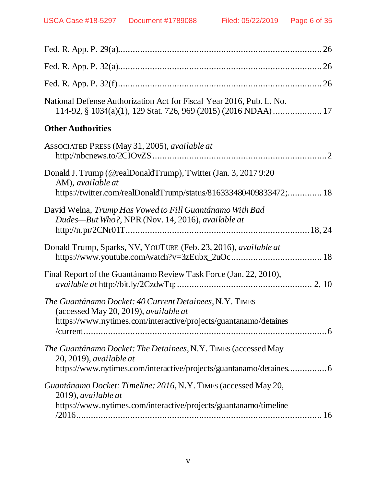| National Defense Authorization Act for Fiscal Year 2016, Pub. L. No.                                                                                                        |
|-----------------------------------------------------------------------------------------------------------------------------------------------------------------------------|
| <b>Other Authorities</b>                                                                                                                                                    |
| ASSOCIATED PRESS (May 31, 2005), available at                                                                                                                               |
| Donald J. Trump (@realDonaldTrump), Twitter (Jan. 3, 2017 9:20<br>AM), available at<br>https://twitter.com/realDonaldTrump/status/816333480409833472; 18                    |
| David Welna, Trump Has Vowed to Fill Guantánamo With Bad<br>Dudes-But Who?, NPR (Nov. 14, 2016), available at                                                               |
| Donald Trump, Sparks, NV, YOUTUBE (Feb. 23, 2016), available at                                                                                                             |
| Final Report of the Guantánamo Review Task Force (Jan. 22, 2010),                                                                                                           |
| The Guantánamo Docket: 40 Current Detainees, N.Y. TIMES<br>(accessed May 20, 2019), <i>available at</i><br>https://www.nytimes.com/interactive/projects/guantanamo/detaines |
| The Guantánamo Docket: The Detainees, N.Y. TIMES (accessed May<br>$(20, 2019)$ , available at<br>https://www.nytimes.com/interactive/projects/guantanamo/detaines6          |
| Guantánamo Docket: Timeline: 2016, N.Y. TIMES (accessed May 20,<br>2019), available at<br>https://www.nytimes.com/interactive/projects/guantanamo/timeline                  |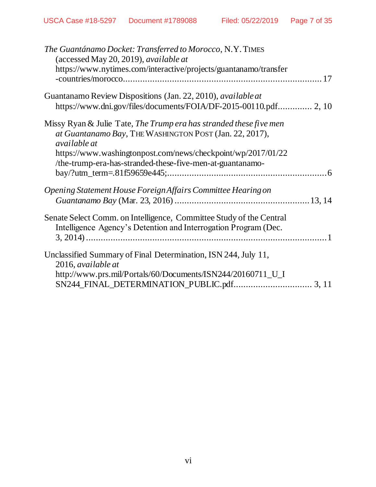| The Guantánamo Docket: Transferred to Morocco, N.Y. TIMES<br>(accessed May 20, 2019), <i>available at</i><br>https://www.nytimes.com/interactive/projects/guantanamo/transfer                                                                                                     |
|-----------------------------------------------------------------------------------------------------------------------------------------------------------------------------------------------------------------------------------------------------------------------------------|
| Guantanamo Review Dispositions (Jan. 22, 2010), <i>available at</i>                                                                                                                                                                                                               |
|                                                                                                                                                                                                                                                                                   |
| Missy Ryan & Julie Tate, The Trump era has stranded these five men<br>at Guantanamo Bay, THE WASHINGTON POST (Jan. 22, 2017),<br><i>available at</i><br>https://www.washingtonpost.com/news/checkpoint/wp/2017/01/22<br>/the-trump-era-has-stranded-these-five-men-at-guantanamo- |
|                                                                                                                                                                                                                                                                                   |
| Opening Statement House Foreign Affairs Committee Hearing on                                                                                                                                                                                                                      |
| Senate Select Comm. on Intelligence, Committee Study of the Central<br>Intelligence Agency's Detention and Interrogation Program (Dec.                                                                                                                                            |
| Unclassified Summary of Final Determination, ISN 244, July 11,                                                                                                                                                                                                                    |
| 2016, available at<br>http://www.prs.mil/Portals/60/Documents/ISN244/20160711_U_I                                                                                                                                                                                                 |
|                                                                                                                                                                                                                                                                                   |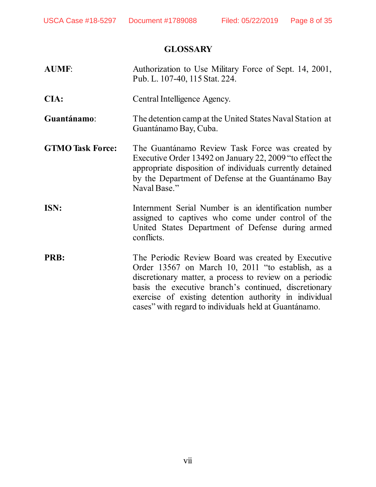# **GLOSSARY**

| <b>AUMF:</b>            | Authorization to Use Military Force of Sept. 14, 2001,<br>Pub. L. 107-40, 115 Stat. 224.                                                                                                                                                                                                                                                       |
|-------------------------|------------------------------------------------------------------------------------------------------------------------------------------------------------------------------------------------------------------------------------------------------------------------------------------------------------------------------------------------|
| <b>CIA:</b>             | Central Intelligence Agency.                                                                                                                                                                                                                                                                                                                   |
| Guantánamo:             | The detention camp at the United States Naval Station at<br>Guantánamo Bay, Cuba.                                                                                                                                                                                                                                                              |
| <b>GTMO Task Force:</b> | The Guantánamo Review Task Force was created by<br>Executive Order 13492 on January 22, 2009 "to effect the<br>appropriate disposition of individuals currently detained<br>by the Department of Defense at the Guantánamo Bay<br>Naval Base."                                                                                                 |
| ISN:                    | Internment Serial Number is an identification number<br>assigned to captives who come under control of the<br>United States Department of Defense during armed<br>conflicts.                                                                                                                                                                   |
| <b>PRB:</b>             | The Periodic Review Board was created by Executive<br>Order 13567 on March 10, 2011 "to establish, as a<br>discretionary matter, a process to review on a periodic<br>basis the executive branch's continued, discretionary<br>exercise of existing detention authority in individual<br>cases" with regard to individuals held at Guantánamo. |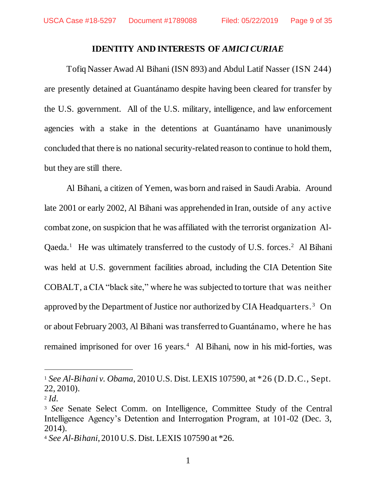#### **IDENTITY AND INTERESTS OF** *AMICI CURIAE*

Tofiq Nasser Awad Al Bihani (ISN 893) and Abdul Latif Nasser (ISN 244) are presently detained at Guantánamo despite having been cleared for transfer by the U.S. government. All of the U.S. military, intelligence, and law enforcement agencies with a stake in the detentions at Guantánamo have unanimously concluded that there is no national security-related reason to continue to hold them, but they are still there.

Al Bihani, a citizen of Yemen, was born and raised in Saudi Arabia. Around late 2001 or early 2002, Al Bihani was apprehended in Iran, outside of any active combat zone, on suspicion that he was affiliated with the terrorist organization Al-Qaeda.<sup>1</sup> He was ultimately transferred to the custody of U.S. forces.<sup>2</sup> Al Bihani was held at U.S. government facilities abroad, including the CIA Detention Site COBALT, a CIA "black site," where he was subjected to torture that was neither approved by the Department of Justice nor authorized by CIA Headquarters.<sup>3</sup> On or about February 2003, Al Bihani was transferred to Guantánamo, where he has remained imprisoned for over 16 years.<sup>4</sup> Al Bihani, now in his mid-forties, was

<span id="page-8-0"></span><sup>1</sup> *See Al-Bihani v. Obama*, 2010 U.S. Dist. LEXIS 107590, at \*26 (D.D.C., Sept. 22, 2010).

 $2$   $Id.$ 

<sup>3</sup> *See* Senate Select Comm. on Intelligence, Committee Study of the Central Intelligence Agency's Detention and Interrogation Program, at 101-02 (Dec. 3, 2014).

<sup>4</sup> *See Al-Bihani*, 2010 U.S. Dist. LEXIS 107590 at \*26.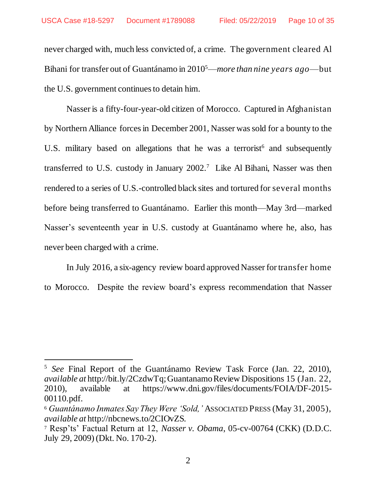<span id="page-9-3"></span><span id="page-9-2"></span> $\overline{a}$ 

never charged with, much less convicted of, a crime. The government cleared Al Bihani for transfer out of Guantánamo in 2010<sup>5</sup>—*more than nine years ago*—but the U.S. government continues to detain him.

Nasseris a fifty-four-year-old citizen of Morocco. Captured in Afghanistan by Northern Alliance forces in December 2001, Nasser was sold for a bounty to the U.S. military based on allegations that he was a terrorist<sup>6</sup> and subsequently transferred to U.S. custody in January  $2002$ .<sup>7</sup> Like Al Bihani, Nasser was then rendered to a series of U.S.-controlled black sites and tortured for several months before being transferred to Guantánamo. Earlier this month—May 3rd—marked Nasser's seventeenth year in U.S. custody at Guantánamo where he, also, has never been charged with a crime.

In July 2016, a six-agency review board approved Nasser for transfer home to Morocco. Despite the review board's express recommendation that Nasser

<sup>5</sup> *See* Final Report of the Guantánamo Review Task Force (Jan. 22, 2010), *available at* http://bit.ly/2CzdwTq; Guantanamo Review Dispositions 15 (Jan. 22, 2010), available at https://www.dni.gov/files/documents/FOIA/DF-2015- 00110.pdf.

<span id="page-9-1"></span><sup>6</sup> *Guantánamo Inmates Say They Were 'Sold,'* ASSOCIATED PRESS (May 31, 2005), *available at* http://nbcnews.to/2CIOvZS.

<span id="page-9-0"></span><sup>7</sup> Resp'ts' Factual Return at 12, *Nasser v. Obama*, 05-cv-00764 (CKK) (D.D.C. July 29, 2009) (Dkt. No. 170-2).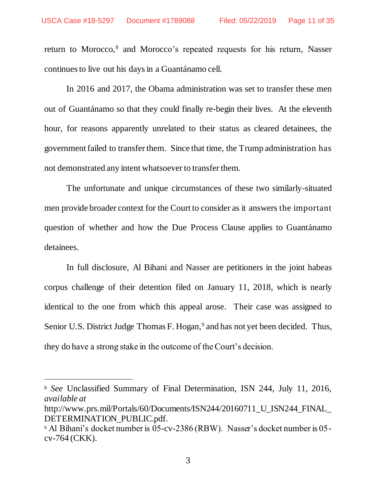return to Morocco,<sup>8</sup> and Morocco's repeated requests for his return, Nasser continues to live out his days in a Guantánamo cell.

In 2016 and 2017, the Obama administration was set to transfer these men out of Guantánamo so that they could finally re-begin their lives. At the eleventh hour, for reasons apparently unrelated to their status as cleared detainees, the government failed to transfer them. Since that time, the Trump administration has not demonstrated any intent whatsoever to transfer them.

The unfortunate and unique circumstances of these two similarly-situated men provide broader context for the Court to consider as it answers the important question of whether and how the Due Process Clause applies to Guantánamo detainees.

In full disclosure, Al Bihani and Nasser are petitioners in the joint habeas corpus challenge of their detention filed on January 11, 2018, which is nearly identical to the one from which this appeal arose. Their case was assigned to Senior U.S. District Judge Thomas F. Hogan,<sup>9</sup> and has not yet been decided. Thus, they do have a strong stake in the outcome of the Court's decision.

<span id="page-10-0"></span><sup>8</sup> *See* Unclassified Summary of Final Determination, ISN 244, July 11, 2016, *available at*

http://www.prs.mil/Portals/60/Documents/ISN244/20160711\_U\_ISN244\_FINAL\_ DETERMINATION\_PUBLIC.pdf.

<sup>9</sup> Al Bihani's docket number is 05-cv-2386 (RBW). Nasser's docket number is 05 cv-764 (CKK).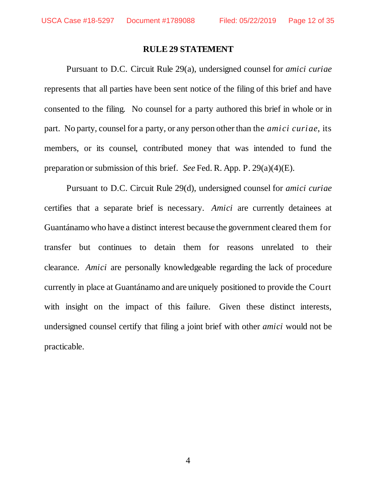#### <span id="page-11-1"></span><span id="page-11-0"></span>**RULE 29 STATEMENT**

Pursuant to D.C. Circuit Rule 29(a), undersigned counsel for *amici curiae* represents that all parties have been sent notice of the filing of this brief and have consented to the filing. No counsel for a party authored this brief in whole or in part. No party, counsel for a party, or any person other than the *amici curiae*, its members, or its counsel, contributed money that was intended to fund the preparation or submission of this brief. *See* Fed. R. App. P. 29(a)(4)(E).

Pursuant to D.C. Circuit Rule 29(d), undersigned counsel for *amici curiae* certifies that a separate brief is necessary. *Amici* are currently detainees at Guantánamo who have a distinct interest because the government cleared them for transfer but continues to detain them for reasons unrelated to their clearance. *Amici* are personally knowledgeable regarding the lack of procedure currently in place at Guantánamo and are uniquely positioned to provide the Court with insight on the impact of this failure. Given these distinct interests, undersigned counsel certify that filing a joint brief with other *amici* would not be practicable.

4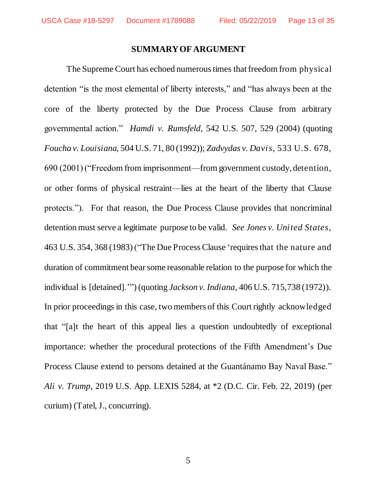#### <span id="page-12-5"></span><span id="page-12-4"></span><span id="page-12-3"></span><span id="page-12-2"></span>**SUMMARY OF ARGUMENT**

<span id="page-12-1"></span><span id="page-12-0"></span>The Supreme Court has echoed numerous times that freedom from physical detention "is the most elemental of liberty interests," and "has always been at the core of the liberty protected by the Due Process Clause from arbitrary governmental action." *Hamdi v. Rumsfeld*, 542 U.S. 507, 529 (2004) (quoting *Foucha v. Louisiana*, 504 U.S. 71, 80 (1992)); *Zadvydas v. Davis,* 533 U.S. 678, 690 (2001) ("Freedom from imprisonment—from government custody, detention, or other forms of physical restraint—lies at the heart of the liberty that Clause protects."). For that reason, the Due Process Clause provides that noncriminal detention must serve a legitimate purpose to be valid. *See Jones v. United States*, 463 U.S. 354, 368 (1983) ("The Due Process Clause 'requires that the nature and duration of commitment bear some reasonable relation to the purpose for which the individual is [detained].'") (quoting *Jackson v. Indiana*, 406 U.S. 715,738 (1972)). In prior proceedings in this case, two members of this Court rightly acknowledged that "[a]t the heart of this appeal lies a question undoubtedly of exceptional importance: whether the procedural protections of the Fifth Amendment's Due Process Clause extend to persons detained at the Guantánamo Bay Naval Base." *Ali v. Trump*, 2019 U.S. App. LEXIS 5284, at \*2 (D.C. Cir. Feb. 22, 2019) (per curium) (Tatel, J., concurring).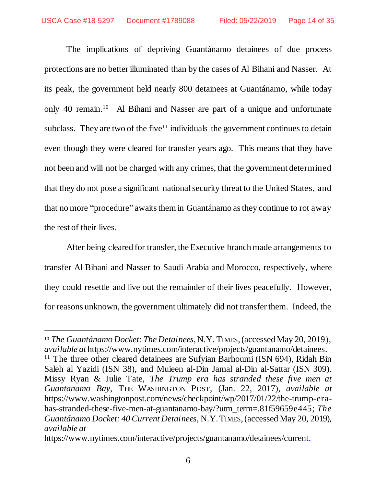The implications of depriving Guantánamo detainees of due process protections are no better illuminated than by the cases of Al Bihani and Nasser. At its peak, the government held nearly 800 detainees at Guantánamo, while today only 40 remain.<sup>10</sup> Al Bihani and Nasser are part of a unique and unfortunate subclass. They are two of the five<sup> $11$ </sup> individuals the government continues to detain even though they were cleared for transfer years ago. This means that they have not been and will not be charged with any crimes, that the government determined that they do not pose a significant national security threat to the United States, and that no more "procedure" awaits them in Guantánamo as they continue to rot away the rest of their lives.

After being cleared for transfer, the Executive branch made arrangements to transfer Al Bihani and Nasser to Saudi Arabia and Morocco, respectively, where they could resettle and live out the remainder of their lives peacefully. However, for reasons unknown, the government ultimately did not transfer them. Indeed, the

<span id="page-13-1"></span><sup>10</sup> *The Guantánamo Docket: The Detainees*, N.Y. TIMES, (accessed May 20, 2019), *available at* https://www.nytimes.com/interactive/projects/guantanamo/detainees.

<span id="page-13-2"></span><sup>&</sup>lt;sup>11</sup> The three other cleared detainees are Sufyian Barhoumi (ISN 694), Ridah Bin Saleh al Yazidi (ISN 38), and Muieen al-Din Jamal al-Din al-Sattar (ISN 309). Missy Ryan & Julie Tate, *The Trump era has stranded these five men at Guantanamo Bay*, THE WASHINGTON POST, (Jan. 22, 2017), *available at*  https://www.washingtonpost.com/news/checkpoint/wp/2017/01/22/the-trump-erahas-stranded-these-five-men-at-guantanamo-bay/?utm\_term=.81f59659e445; *The Guantánamo Docket: 40 Current Detainees*, N.Y.TIMES, (accessed May 20, 2019), *available at*

<span id="page-13-0"></span>https://www.nytimes.com/interactive/projects/guantanamo/detainees/current.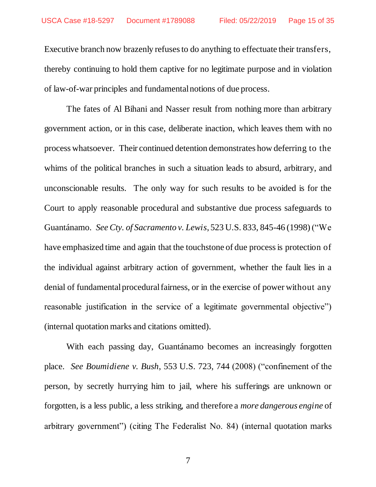Executive branch now brazenly refuses to do anything to effectuate their transfers, thereby continuing to hold them captive for no legitimate purpose and in violation of law-of-war principles and fundamental notions of due process.

<span id="page-14-1"></span>The fates of Al Bihani and Nasser result from nothing more than arbitrary government action, or in this case, deliberate inaction, which leaves them with no process whatsoever. Their continued detention demonstrates how deferring to the whims of the political branches in such a situation leads to absurd, arbitrary, and unconscionable results. The only way for such results to be avoided is for the Court to apply reasonable procedural and substantive due process safeguards to Guantánamo. *See Cty. of Sacramento v. Lewis*, 523 U.S. 833, 845-46 (1998) ("We have emphasized time and again that the touchstone of due process is protection of the individual against arbitrary action of government, whether the fault lies in a denial of fundamental procedural fairness, or in the exercise of power without any reasonable justification in the service of a legitimate governmental objective") (internal quotation marks and citations omitted).

<span id="page-14-0"></span>With each passing day, Guantánamo becomes an increasingly forgotten place. *See Boumidiene v. Bush*, 553 U.S. 723, 744 (2008) ("confinement of the person, by secretly hurrying him to jail, where his sufferings are unknown or forgotten, is a less public, a less striking, and therefore a *more dangerous engine* of arbitrary government") (citing The Federalist No. 84) (internal quotation marks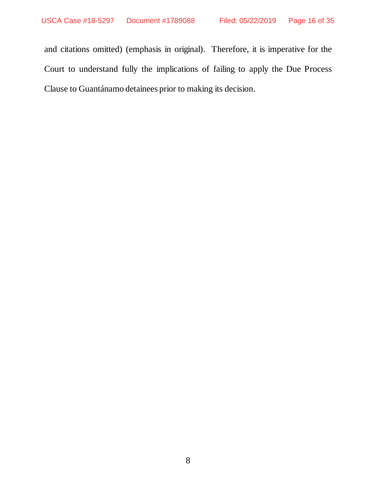and citations omitted) (emphasis in original). Therefore, it is imperative for the Court to understand fully the implications of failing to apply the Due Process Clause to Guantánamo detainees prior to making its decision.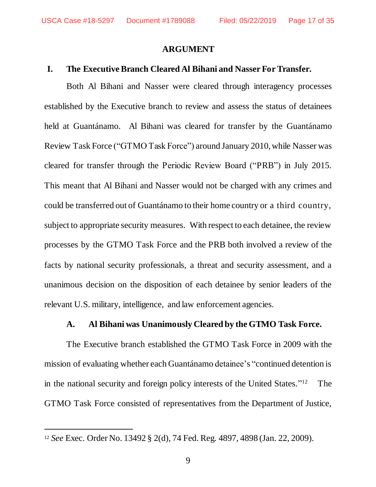$\overline{a}$ 

#### **ARGUMENT**

#### **I. The Executive Branch Cleared Al Bihani and Nasser For Transfer.**

Both Al Bihani and Nasser were cleared through interagency processes established by the Executive branch to review and assess the status of detainees held at Guantánamo. Al Bihani was cleared for transfer by the Guantánamo Review Task Force ("GTMO Task Force") around January 2010, while Nasser was cleared for transfer through the Periodic Review Board ("PRB") in July 2015. This meant that Al Bihani and Nasser would not be charged with any crimes and could be transferred out of Guantánamo to their home country or a third country, subject to appropriate security measures. With respect to each detainee, the review processes by the GTMO Task Force and the PRB both involved a review of the facts by national security professionals, a threat and security assessment, and a unanimous decision on the disposition of each detainee by senior leaders of the relevant U.S. military, intelligence, and law enforcement agencies.

#### **A. Al Bihani was Unanimously Cleared by the GTMO Task Force.**

The Executive branch established the GTMO Task Force in 2009 with the mission of evaluating whether each Guantánamo detainee's "continued detention is in the national security and foreign policy interests of the United States." The GTMO Task Force consisted of representatives from the Department of Justice,

<span id="page-16-0"></span><sup>12</sup> *See* Exec. Order No. 13492 § 2(d), 74 Fed. Reg. 4897, 4898 (Jan. 22, 2009).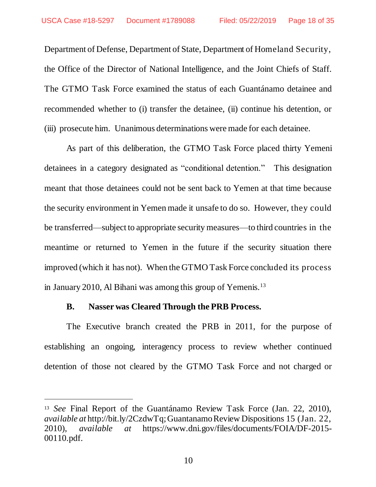Department of Defense, Department of State, Department of Homeland Security, the Office of the Director of National Intelligence, and the Joint Chiefs of Staff. The GTMO Task Force examined the status of each Guantánamo detainee and recommended whether to (i) transfer the detainee, (ii) continue his detention, or (iii) prosecute him. Unanimous determinations were made for each detainee.

As part of this deliberation, the GTMO Task Force placed thirty Yemeni detainees in a category designated as "conditional detention." This designation meant that those detainees could not be sent back to Yemen at that time because the security environment in Yemen made it unsafe to do so. However, they could be transferred—subject to appropriate security measures—to third countries in the meantime or returned to Yemen in the future if the security situation there improved (which it has not). When the GTMO Task Force concluded its process in January 2010, Al Bihani was among this group of Yemenis.<sup>13</sup>

#### **B. Nasser was Cleared Through the PRB Process.**

<span id="page-17-1"></span><span id="page-17-0"></span>l

The Executive branch created the PRB in 2011, for the purpose of establishing an ongoing, interagency process to review whether continued detention of those not cleared by the GTMO Task Force and not charged or

<sup>13</sup> *See* Final Report of the Guantánamo Review Task Force (Jan. 22, 2010), *available at* http://bit.ly/2CzdwTq; Guantanamo Review Dispositions 15 (Jan. 22, 2010), *available at* https://www.dni.gov/files/documents/FOIA/DF-2015- 00110.pdf.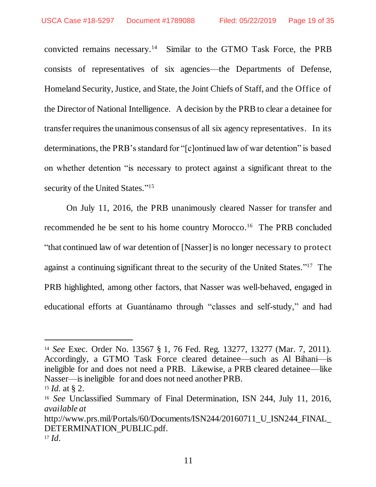convicted remains necessary. 14 Similar to the GTMO Task Force, the PRB consists of representatives of six agencies—the Departments of Defense, Homeland Security, Justice, and State, the Joint Chiefs of Staff, and the Office of the Director of National Intelligence. A decision by the PRB to clear a detainee for transfer requires the unanimous consensus of all six agency representatives. In its determinations, the PRB's standard for "[c]ontinued law of war detention" is based on whether detention "is necessary to protect against a significant threat to the security of the United States."<sup>15</sup>

On July 11, 2016, the PRB unanimously cleared Nasser for transfer and recommended he be sent to his home country Morocco. 16 The PRB concluded "that continued law of war detention of [Nasser] is no longer necessary to protect against a continuing significant threat to the security of the United States."<sup>17</sup> The PRB highlighted, among other factors, that Nasser was well-behaved, engaged in educational efforts at Guantánamo through "classes and self-study," and had

<span id="page-18-0"></span><sup>14</sup> *See* Exec. Order No. 13567 § 1, 76 Fed. Reg. 13277, 13277 (Mar. 7, 2011). Accordingly, a GTMO Task Force cleared detainee—such as Al Bihani—is ineligible for and does not need a PRB. Likewise, a PRB cleared detainee—like Nasser—is ineligible for and does not need another PRB.

<sup>15</sup> *Id.* at § 2.

<span id="page-18-1"></span><sup>16</sup> *See* Unclassified Summary of Final Determination, ISN 244, July 11, 2016, *available at*

http://www.prs.mil/Portals/60/Documents/ISN244/20160711\_U\_ISN244\_FINAL\_ DETERMINATION\_PUBLIC.pdf.

<sup>17</sup> *Id*.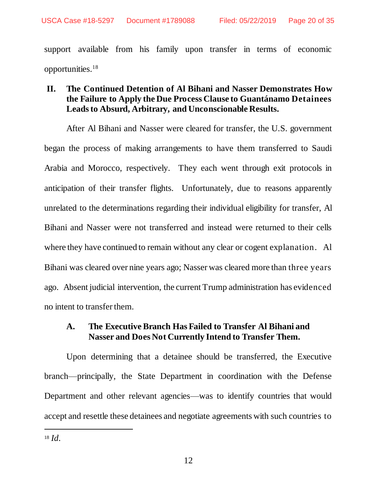support available from his family upon transfer in terms of economic opportunities. 18

### **II. The Continued Detention of Al Bihani and Nasser Demonstrates How the Failure to Apply the Due Process Clause to Guantánamo Detainees Leads to Absurd, Arbitrary, and Unconscionable Results.**

After Al Bihani and Nasser were cleared for transfer, the U.S. government began the process of making arrangements to have them transferred to Saudi Arabia and Morocco, respectively. They each went through exit protocols in anticipation of their transfer flights. Unfortunately, due to reasons apparently unrelated to the determinations regarding their individual eligibility for transfer, Al Bihani and Nasser were not transferred and instead were returned to their cells where they have continued to remain without any clear or cogent explanation. Al Bihani was cleared over nine years ago; Nasser was cleared more than three years ago. Absent judicial intervention, the current Trump administration has evidenced no intent to transfer them.

## **A. The Executive Branch Has Failed to Transfer Al Bihani and Nasser and Does Not Currently Intend to Transfer Them.**

Upon determining that a detainee should be transferred, the Executive branch—principally, the State Department in coordination with the Defense Department and other relevant agencies—was to identify countries that would accept and resettle these detainees and negotiate agreements with such countries to

 $\overline{a}$ 

<sup>18</sup> *Id*.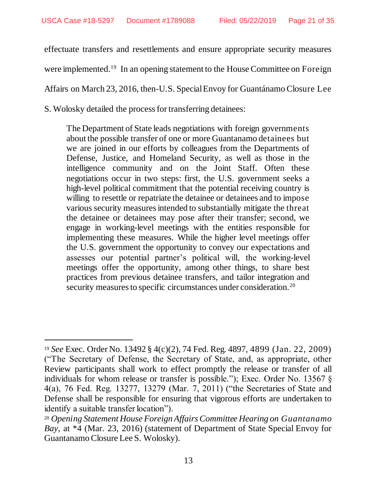effectuate transfers and resettlements and ensure appropriate security measures were implemented.<sup>19</sup> In an opening statement to the House Committee on Foreign Affairs on March 23, 2016, then-U.S. Special Envoy for Guantánamo Closure Lee

S. Wolosky detailed the process for transferring detainees:

<span id="page-20-0"></span>l

The Department of State leads negotiations with foreign governments about the possible transfer of one or more Guantanamo detainees but we are joined in our efforts by colleagues from the Departments of Defense, Justice, and Homeland Security, as well as those in the intelligence community and on the Joint Staff. Often these negotiations occur in two steps: first, the U.S. government seeks a high-level political commitment that the potential receiving country is willing to resettle or repatriate the detainee or detainees and to impose various security measures intended to substantially mitigate the threat the detainee or detainees may pose after their transfer; second, we engage in working-level meetings with the entities responsible for implementing these measures. While the higher level meetings offer the U.S. government the opportunity to convey our expectations and assesses our potential partner's political will, the working-level meetings offer the opportunity, among other things, to share best practices from previous detainee transfers, and tailor integration and security measures to specific circumstances under consideration.<sup>20</sup>

<span id="page-20-1"></span><sup>19</sup> *See* Exec. Order No. 13492 § 4(c)(2), 74 Fed. Reg. 4897, 4899 (Jan. 22, 2009) ("The Secretary of Defense, the Secretary of State, and, as appropriate, other Review participants shall work to effect promptly the release or transfer of all individuals for whom release or transfer is possible."); Exec. Order No. 13567 § 4(a), 76 Fed. Reg. 13277, 13279 (Mar. 7, 2011) ("the Secretaries of State and Defense shall be responsible for ensuring that vigorous efforts are undertaken to identify a suitable transfer location").

<span id="page-20-2"></span><sup>20</sup> *Opening Statement House Foreign Affairs Committee Hearing on Guantanamo Bay*, at \*4 (Mar. 23, 2016) (statement of Department of State Special Envoy for Guantanamo Closure Lee S. Wolosky).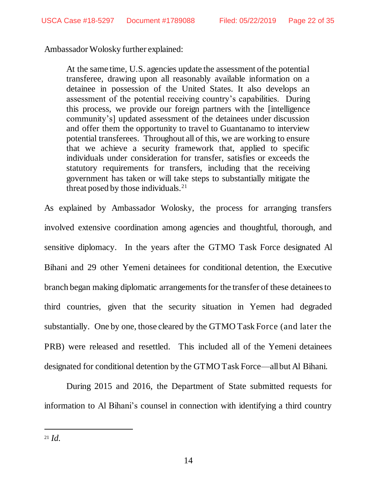Ambassador Wolosky further explained:

At the same time, U.S. agencies update the assessment of the potential transferee, drawing upon all reasonably available information on a detainee in possession of the United States. It also develops an assessment of the potential receiving country's capabilities. During this process, we provide our foreign partners with the [intelligence community's] updated assessment of the detainees under discussion and offer them the opportunity to travel to Guantanamo to interview potential transferees. Throughout all of this, we are working to ensure that we achieve a security framework that, applied to specific individuals under consideration for transfer, satisfies or exceeds the statutory requirements for transfers, including that the receiving government has taken or will take steps to substantially mitigate the threat posed by those individuals. $21$ 

As explained by Ambassador Wolosky, the process for arranging transfers involved extensive coordination among agencies and thoughtful, thorough, and sensitive diplomacy. In the years after the GTMO Task Force designated Al Bihani and 29 other Yemeni detainees for conditional detention, the Executive branch began making diplomatic arrangements for the transfer of these detainees to third countries, given that the security situation in Yemen had degraded substantially. One by one, those cleared by the GTMO Task Force (and later the PRB) were released and resettled. This included all of the Yemeni detainees designated for conditional detention by the GTMO Task Force—all but Al Bihani.

During 2015 and 2016, the Department of State submitted requests for information to Al Bihani's counsel in connection with identifying a third country

<span id="page-21-0"></span> $\overline{a}$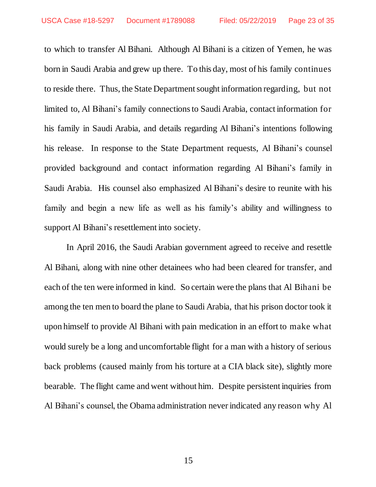to which to transfer Al Bihani. Although Al Bihani is a citizen of Yemen, he was born in Saudi Arabia and grew up there. To this day, most of his family continues to reside there. Thus, the State Department sought information regarding, but not limited to, Al Bihani's family connections to Saudi Arabia, contact information for his family in Saudi Arabia, and details regarding Al Bihani's intentions following his release. In response to the State Department requests, Al Bihani's counsel provided background and contact information regarding Al Bihani's family in Saudi Arabia. His counsel also emphasized Al Bihani's desire to reunite with his family and begin a new life as well as his family's ability and willingness to support Al Bihani's resettlement into society.

In April 2016, the Saudi Arabian government agreed to receive and resettle Al Bihani, along with nine other detainees who had been cleared for transfer, and each of the ten were informed in kind. So certain were the plans that Al Bihani be among the ten men to board the plane to Saudi Arabia, that his prison doctor took it upon himself to provide Al Bihani with pain medication in an effort to make what would surely be a long and uncomfortable flight for a man with a history of serious back problems (caused mainly from his torture at a CIA black site), slightly more bearable. The flight came and went without him. Despite persistent inquiries from Al Bihani's counsel, the Obama administration never indicated any reason why Al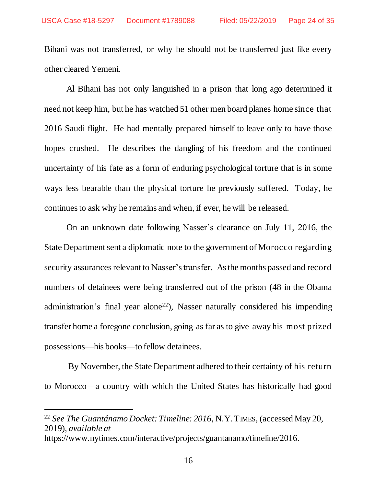Bihani was not transferred, or why he should not be transferred just like every other cleared Yemeni.

Al Bihani has not only languished in a prison that long ago determined it need not keep him, but he has watched 51 other men board planes home since that 2016 Saudi flight. He had mentally prepared himself to leave only to have those hopes crushed. He describes the dangling of his freedom and the continued uncertainty of his fate as a form of enduring psychological torture that is in some ways less bearable than the physical torture he previously suffered. Today, he continues to ask why he remains and when, if ever, he will be released.

On an unknown date following Nasser's clearance on July 11, 2016, the State Department sent a diplomatic note to the government of Morocco regarding security assurances relevant to Nasser's transfer. As the months passed and record numbers of detainees were being transferred out of the prison (48 in the Obama administration's final year alone<sup>22</sup>), Nasser naturally considered his impending transfer home a foregone conclusion, going as far as to give away his most prized possessions—his books—to fellow detainees.

By November, the State Department adhered to their certainty of his return to Morocco—a country with which the United States has historically had good

<span id="page-23-0"></span><sup>22</sup> *See The Guantánamo Docket: Timeline: 2016*, N.Y.TIMES, (accessed May 20, 2019), *available at* https://www.nytimes.com/interactive/projects/guantanamo/timeline/2016.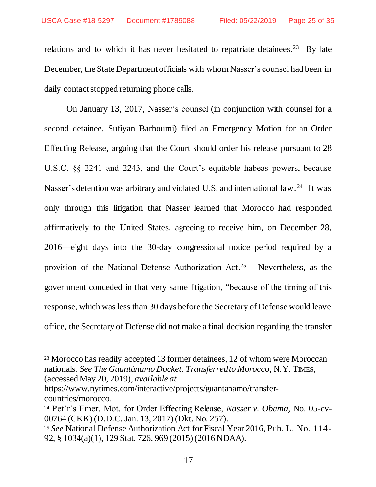relations and to which it has never hesitated to repatriate detainees.<sup>23</sup> By late December, the State Department officials with whom Nasser's counsel had been in daily contact stopped returning phone calls.

<span id="page-24-1"></span>On January 13, 2017, Nasser's counsel (in conjunction with counsel for a second detainee, Sufiyan Barhoumi) filed an Emergency Motion for an Order Effecting Release, arguing that the Court should order his release pursuant to 28 U.S.C. §§ 2241 and 2243, and the Court's equitable habeas powers, because Nasser's detention was arbitrary and violated U.S. and international law.<sup>24</sup> It was only through this litigation that Nasser learned that Morocco had responded affirmatively to the United States, agreeing to receive him, on December 28, 2016—eight days into the 30-day congressional notice period required by a provision of the National Defense Authorization Act. Nevertheless, as the government conceded in that very same litigation, "because of the timing of this response, which was less than 30 days before the Secretary of Defense would leave office, the Secretary of Defense did not make a final decision regarding the transfer

 $\overline{a}$ 

<span id="page-24-3"></span><sup>23</sup> Morocco has readily accepted 13 former detainees, 12 of whom were Moroccan nationals. *See The Guantánamo Docket: Transferred to Morocco*, N.Y. TIMES, (accessed May 20, 2019), *available at*

https://www.nytimes.com/interactive/projects/guantanamo/transfercountries/morocco.

<span id="page-24-0"></span><sup>24</sup> Pet'r's Emer. Mot. for Order Effecting Release, *Nasser v. Obama*, No. 05-cv-00764 (CKK) (D.D.C. Jan. 13, 2017) (Dkt. No. 257).

<span id="page-24-2"></span><sup>25</sup> *See* National Defense Authorization Act for Fiscal Year 2016, Pub. L. No. 114- 92, § 1034(a)(1), 129 Stat. 726, 969 (2015) (2016 NDAA).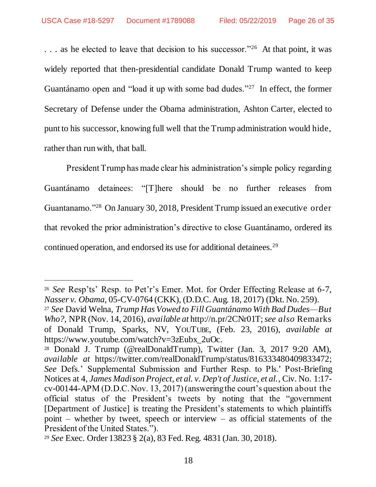$\overline{a}$ 

... as he elected to leave that decision to his successor."<sup>26</sup> At that point, it was widely reported that then-presidential candidate Donald Trump wanted to keep Guantánamo open and "load it up with some bad dudes."<sup>27</sup> In effect, the former Secretary of Defense under the Obama administration, Ashton Carter, elected to punt to his successor, knowing full well that the Trump administration would hide, rather than run with, that ball.

President Trump has made clear his administration's simple policy regarding Guantánamo detainees: "[T]here should be no further releases from Guantanamo."<sup>28</sup> On January 30, 2018, President Trump issued an executive order that revoked the prior administration's directive to close Guantánamo, ordered its continued operation, and endorsed its use for additional detainees.<sup>29</sup>

<span id="page-25-1"></span><sup>26</sup> *See* Resp'ts' Resp. to Pet'r's Emer. Mot. for Order Effecting Release at 6-7, *Nasser v. Obama*, 05-CV-0764 (CKK), (D.D.C. Aug. 18, 2017) (Dkt. No. 259).

<span id="page-25-5"></span><span id="page-25-4"></span><sup>27</sup> *See* David Welna, *Trump Has Vowed to Fill Guantánamo With Bad Dudes—But Who?*, NPR(Nov. 14, 2016), *available at* http://n.pr/2CNr01T; *see also* Remarks of Donald Trump, Sparks, NV, YOUTUBE, (Feb. 23, 2016), *available at* https://www.youtube.com/watch?v=3zEubx\_2uOc.

<span id="page-25-3"></span><span id="page-25-0"></span><sup>28</sup> Donald J. Trump (@realDonaldTrump), Twitter (Jan. 3, 2017 9:20 AM), *available at* https://twitter.com/realDonaldTrump/status/816333480409833472; *See* Defs.' Supplemental Submission and Further Resp. to Pls.' Post-Briefing Notices at 4, *James Madison Project, et al. v. Dep't of Justice, et al.*, Civ. No. 1:17 cv-00144-APM (D.D.C. Nov. 13, 2017) (answering the court's question about the official status of the President's tweets by noting that the "government [Department of Justice] is treating the President's statements to which plaintiffs point – whether by tweet, speech or interview – as official statements of the President of the United States.").

<span id="page-25-2"></span><sup>29</sup> *See* Exec. Order 13823 § 2(a), 83 Fed. Reg. 4831 (Jan. 30, 2018).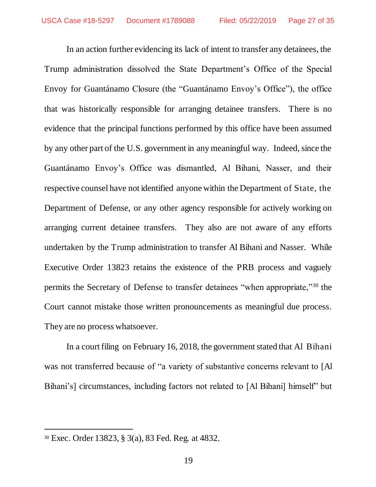In an action further evidencing its lack of intent to transfer any detainees, the Trump administration dissolved the State Department's Office of the Special Envoy for Guantánamo Closure (the "Guantánamo Envoy's Office"), the office that was historically responsible for arranging detainee transfers. There is no evidence that the principal functions performed by this office have been assumed by any other part of the U.S. government in any meaningful way. Indeed, since the Guantánamo Envoy's Office was dismantled, Al Bihani, Nasser, and their respective counsel have not identified anyone within the Department of State, the Department of Defense, or any other agency responsible for actively working on arranging current detainee transfers. They also are not aware of any efforts undertaken by the Trump administration to transfer Al Bihani and Nasser. While Executive Order 13823 retains the existence of the PRB process and vaguely permits the Secretary of Defense to transfer detainees "when appropriate,"<sup>30</sup> the Court cannot mistake those written pronouncements as meaningful due process. They are no process whatsoever.

In a court filing on February 16, 2018, the government stated that Al Bihani was not transferred because of "a variety of substantive concerns relevant to [Al Bihani's] circumstances, including factors not related to [Al Bihani] himself" but

 $\overline{a}$ 

<span id="page-26-0"></span><sup>30</sup> Exec. Order 13823, § 3(a), 83 Fed. Reg. at 4832.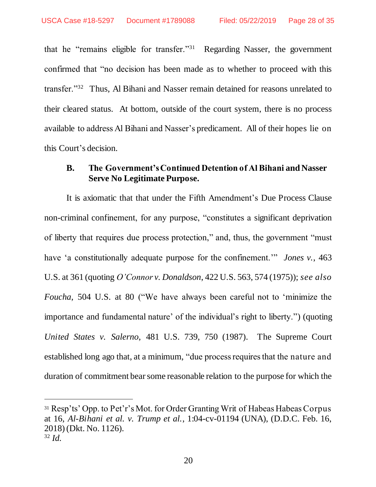that he "remains eligible for transfer."<sup>31</sup> Regarding Nasser, the government confirmed that "no decision has been made as to whether to proceed with this transfer."<sup>32</sup> Thus, Al Bihani and Nasser remain detained for reasons unrelated to their cleared status. At bottom, outside of the court system, there is no process available to address Al Bihani and Nasser's predicament. All of their hopes lie on this Court's decision.

### <span id="page-27-2"></span>**B. The Government's Continued Detention of Al Bihani and Nasser Serve No Legitimate Purpose.**

<span id="page-27-3"></span><span id="page-27-1"></span>It is axiomatic that that under the Fifth Amendment's Due Process Clause non-criminal confinement, for any purpose, "constitutes a significant deprivation of liberty that requires due process protection," and, thus, the government "must have 'a constitutionally adequate purpose for the confinement.'" *Jones v.*, 463 U.S. at 361 (quoting *O'Connor v. Donaldson*, 422 U.S. 563, 574 (1975)); *see also Foucha*, 504 U.S. at 80 ("We have always been careful not to 'minimize the importance and fundamental nature' of the individual's right to liberty.") (quoting *United States v. Salerno*, 481 U.S. 739, 750 (1987). The Supreme Court established long ago that, at a minimum, "due process requires that the nature and duration of commitment bear some reasonable relation to the purpose for which the

<span id="page-27-4"></span><span id="page-27-0"></span><sup>31</sup> Resp'ts' Opp. to Pet'r's Mot. for Order Granting Writ of Habeas Habeas Corpus at 16, *Al-Bihani et al. v. Trump et al.*, 1:04-cv-01194 (UNA), (D.D.C. Feb. 16, 2018) (Dkt. No. 1126).

<sup>32</sup> *Id.*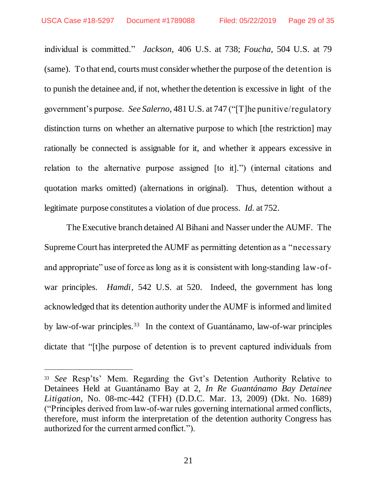<span id="page-28-1"></span>l

<span id="page-28-4"></span><span id="page-28-3"></span><span id="page-28-0"></span>individual is committed." *Jackson*, 406 U.S. at 738; *Foucha*, 504 U.S. at 79 (same). To that end, courts must consider whether the purpose of the detention is to punish the detainee and, if not, whether the detention is excessive in light of the government's purpose. *See Salerno*, 481 U.S. at 747 ("[T]he punitive/regulatory distinction turns on whether an alternative purpose to which [the restriction] may rationally be connected is assignable for it, and whether it appears excessive in relation to the alternative purpose assigned [to it].") (internal citations and quotation marks omitted) (alternations in original). Thus, detention without a legitimate purpose constitutes a violation of due process. *Id.* at 752.

<span id="page-28-2"></span>The Executive branch detained Al Bihani and Nasser under the AUMF. The Supreme Court has interpreted the AUMF as permitting detention as a "necessary and appropriate" use of force as long as it is consistent with long-standing law-ofwar principles. *Hamdi*, 542 U.S. at 520. Indeed, the government has long acknowledged that its detention authority under the AUMF is informed and limited by law-of-war principles.<sup>33</sup> In the context of Guantánamo, law-of-war principles dictate that "[t]he purpose of detention is to prevent captured individuals from

<sup>33</sup> *See* Resp'ts' Mem. Regarding the Gvt's Detention Authority Relative to Detainees Held at Guantánamo Bay at 2, *In Re Guantánamo Bay Detainee Litigation*, No. 08-mc-442 (TFH) (D.D.C. Mar. 13, 2009) (Dkt. No. 1689) ("Principles derived from law-of-war rules governing international armed conflicts, therefore, must inform the interpretation of the detention authority Congress has authorized for the current armed conflict.").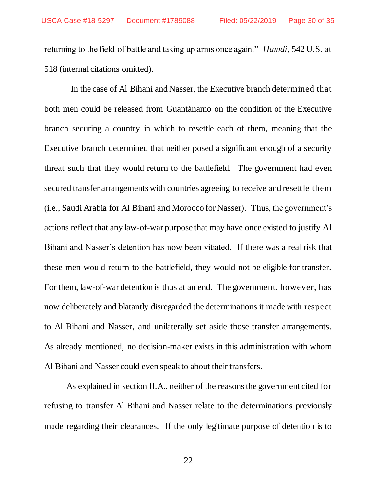<span id="page-29-0"></span>returning to the field of battle and taking up arms once again." *Hamdi*, 542 U.S. at 518 (internal citations omitted).

 In the case of Al Bihani and Nasser, the Executive branch determined that both men could be released from Guantánamo on the condition of the Executive branch securing a country in which to resettle each of them, meaning that the Executive branch determined that neither posed a significant enough of a security threat such that they would return to the battlefield. The government had even secured transfer arrangements with countries agreeing to receive and resettle them (i.e., Saudi Arabia for Al Bihani and Morocco for Nasser). Thus, the government's actions reflect that any law-of-war purpose that may have once existed to justify Al Bihani and Nasser's detention has now been vitiated. If there was a real risk that these men would return to the battlefield, they would not be eligible for transfer. For them, law-of-war detention is thus at an end. The government, however, has now deliberately and blatantly disregarded the determinations it made with respect to Al Bihani and Nasser, and unilaterally set aside those transfer arrangements. As already mentioned, no decision-maker exists in this administration with whom Al Bihani and Nasser could even speak to about their transfers.

As explained in section II.A., neither of the reasons the government cited for refusing to transfer Al Bihani and Nasser relate to the determinations previously made regarding their clearances. If the only legitimate purpose of detention is to

22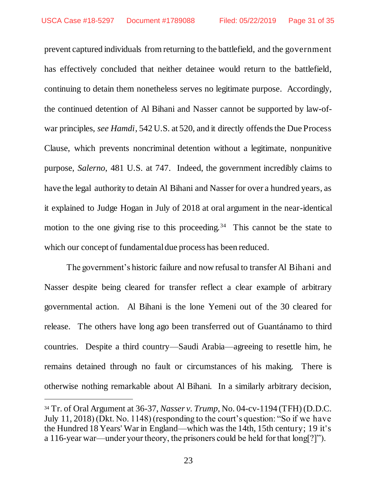<span id="page-30-0"></span>prevent captured individuals from returning to the battlefield, and the government has effectively concluded that neither detainee would return to the battlefield, continuing to detain them nonetheless serves no legitimate purpose. Accordingly, the continued detention of Al Bihani and Nasser cannot be supported by law-ofwar principles, *see Hamdi*, 542 U.S. at 520, and it directly offends the Due Process Clause, which prevents noncriminal detention without a legitimate, nonpunitive purpose, *Salerno*, 481 U.S. at 747. Indeed, the government incredibly claims to have the legal authority to detain Al Bihani and Nasser for over a hundred years, as it explained to Judge Hogan in July of 2018 at oral argument in the near-identical motion to the one giving rise to this proceeding.<sup>34</sup> This cannot be the state to which our concept of fundamental due process has been reduced.

<span id="page-30-2"></span>The government's historic failure and now refusal to transfer Al Bihani and Nasser despite being cleared for transfer reflect a clear example of arbitrary governmental action. Al Bihani is the lone Yemeni out of the 30 cleared for release. The others have long ago been transferred out of Guantánamo to third countries. Despite a third country—Saudi Arabia—agreeing to resettle him, he remains detained through no fault or circumstances of his making. There is otherwise nothing remarkable about Al Bihani. In a similarly arbitrary decision,

<span id="page-30-1"></span><sup>34</sup> Tr. of Oral Argument at 36-37, *Nasser v. Trump*, No. 04-cv-1194 (TFH) (D.D.C. July 11, 2018) (Dkt. No. 1148) (responding to the court's question: "So if we have the Hundred 18 Years' War in England—which was the 14th, 15th century; 19 it's a 116-year war—under your theory, the prisoners could be held for that long[?]").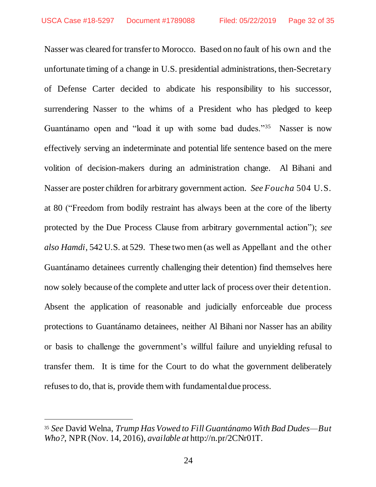<span id="page-31-0"></span>Nasser was cleared for transfer to Morocco. Based on no fault of his own and the unfortunate timing of a change in U.S. presidential administrations, then-Secretary of Defense Carter decided to abdicate his responsibility to his successor, surrendering Nasser to the whims of a President who has pledged to keep Guantánamo open and "load it up with some bad dudes."<sup>35</sup> Nasser is now effectively serving an indeterminate and potential life sentence based on the mere volition of decision-makers during an administration change. Al Bihani and Nasser are poster children for arbitrary government action. *See Foucha* 504 U.S. at 80 ("Freedom from bodily restraint has always been at the core of the liberty protected by the Due Process Clause from arbitrary governmental action"); *see also Hamdi*, 542 U.S. at 529. These two men (as well as Appellant and the other Guantánamo detainees currently challenging their detention) find themselves here now solely because of the complete and utter lack of process over their detention. Absent the application of reasonable and judicially enforceable due process protections to Guantánamo detainees, neither Al Bihani nor Nasser has an ability or basis to challenge the government's willful failure and unyielding refusal to transfer them. It is time for the Court to do what the government deliberately refuses to do, that is, provide them with fundamental due process.

<span id="page-31-2"></span><span id="page-31-1"></span><sup>35</sup> *See* David Welna, *Trump Has Vowed to Fill Guantánamo With Bad Dudes—But Who?*, NPR(Nov. 14, 2016), *available at* http://n.pr/2CNr01T.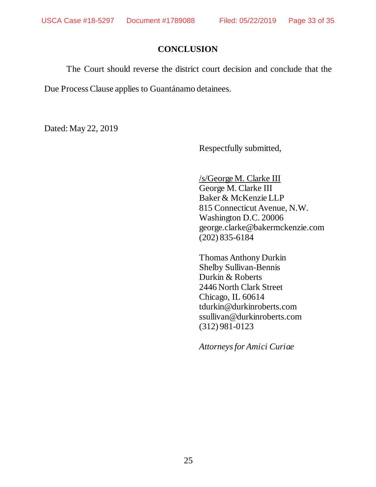## **CONCLUSION**

The Court should reverse the district court decision and conclude that the Due Process Clause applies to Guantánamo detainees.

Dated: May 22, 2019

Respectfully submitted,

/s/George M. Clarke III George M. Clarke III Baker & McKenzie LLP 815 Connecticut Avenue, N.W. Washington D.C. 20006 [george.clarke@bakermckenzie.com](mailto:george.clarke@bakermckenzie.com) (202) 835-6184

Thomas Anthony Durkin Shelby Sullivan-Bennis Durkin & Roberts 2446 North Clark Street Chicago, IL 60614 tdurkin@durkinroberts.com ssullivan@durkinroberts.com (312) 981-0123

*Attorneys for Amici Curiae*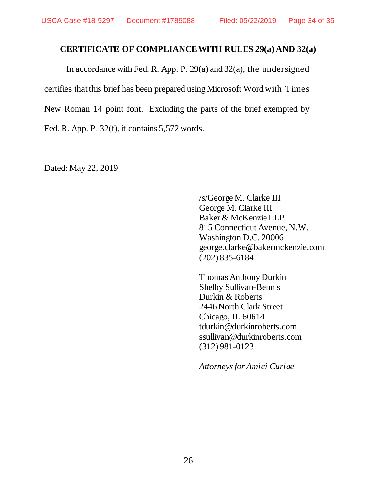#### <span id="page-33-1"></span>**CERTIFICATE OF COMPLIANCE WITH RULES 29(a) AND 32(a)**

In accordance with Fed. R. App. P. 29(a) and 32(a), the undersigned certifies that this brief has been prepared using Microsoft Word with Times New Roman 14 point font. Excluding the parts of the brief exempted by Fed. R. App. P. 32(f), it contains 5,572 words.

<span id="page-33-2"></span>Dated: May 22, 2019

<span id="page-33-0"></span>/s/George M. Clarke III George M. Clarke III Baker & McKenzie LLP 815 Connecticut Avenue, N.W. Washington D.C. 20006 [george.clarke@bakermckenzie.com](mailto:george.clarke@bakermckenzie.com) (202) 835-6184

Thomas Anthony Durkin Shelby Sullivan-Bennis Durkin & Roberts 2446 North Clark Street Chicago, IL 60614 tdurkin@durkinroberts.com ssullivan@durkinroberts.com (312) 981-0123

*Attorneys for Amici Curiae*